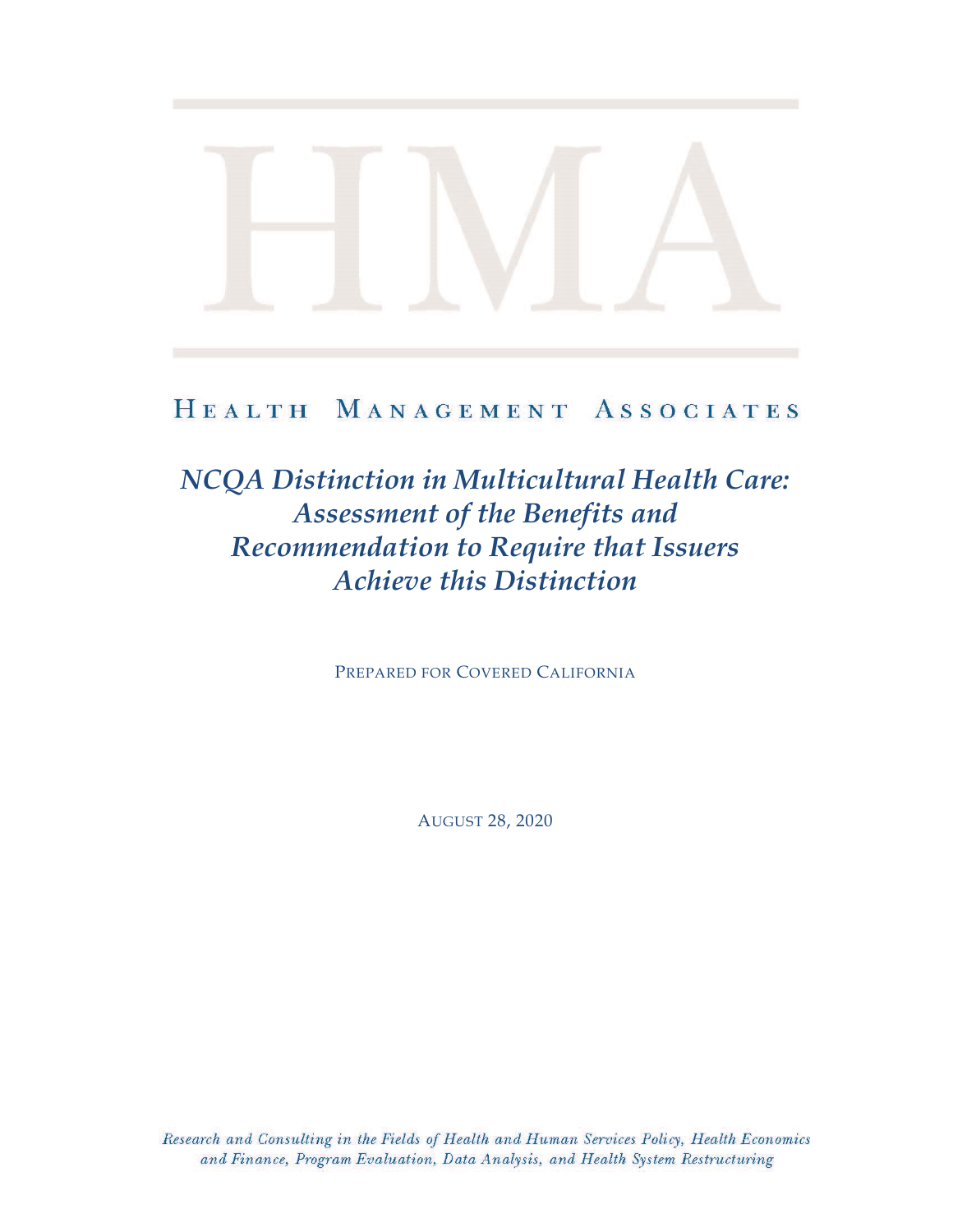# HEALTH MANAGEMENT ASSOCIATES

*NCQA Distinction in Multicultural Health Care: Assessment of the Benefits and Recommendation to Require that Issuers Achieve this Distinction*

PREPARED FOR COVERED CALIFORNIA

AUGUST 28, 2020

Research and Consulting in the Fields of Health and Human Services Policy, Health Economics and Finance, Program Evaluation, Data Analysis, and Health System Restructuring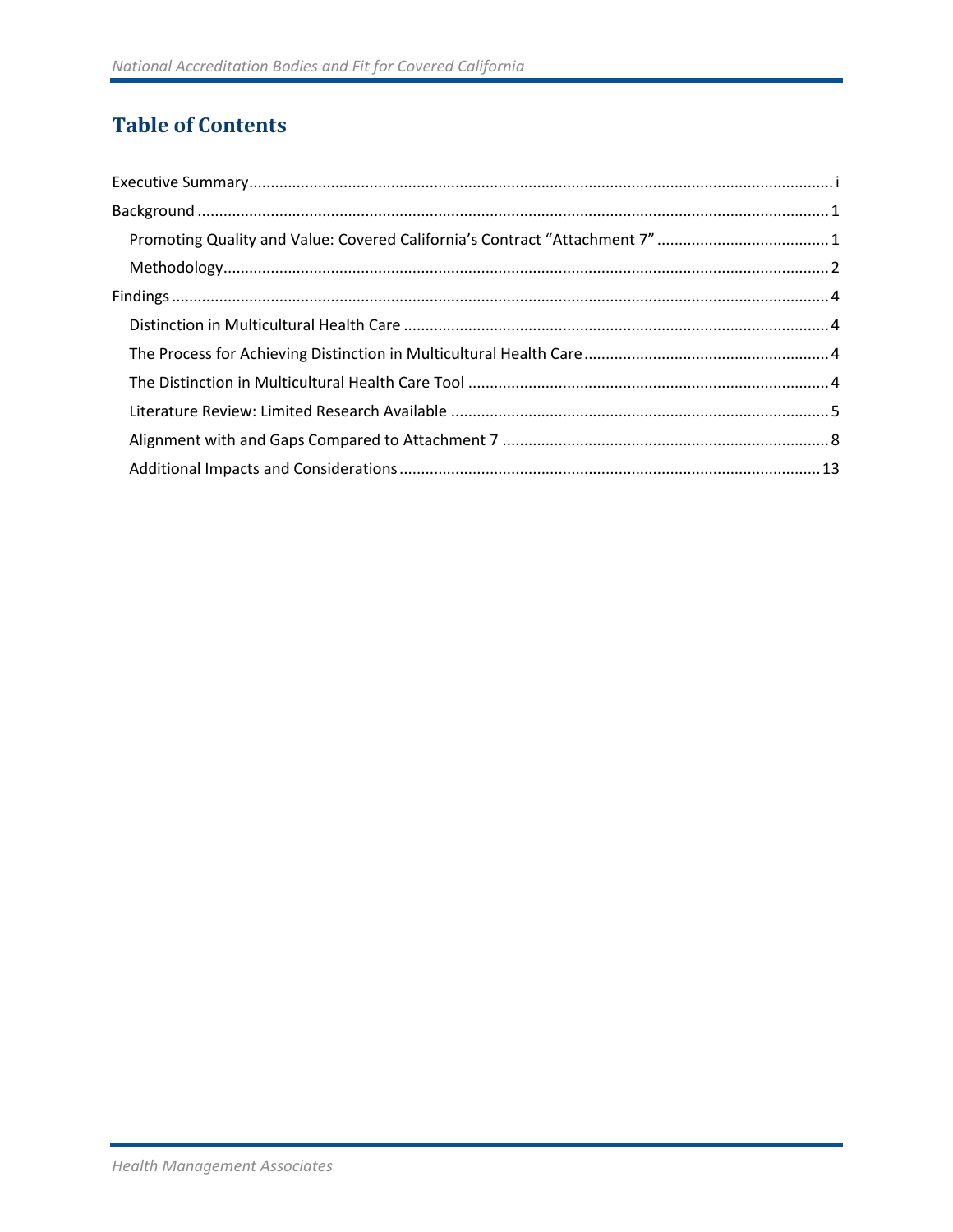# **Table of Contents**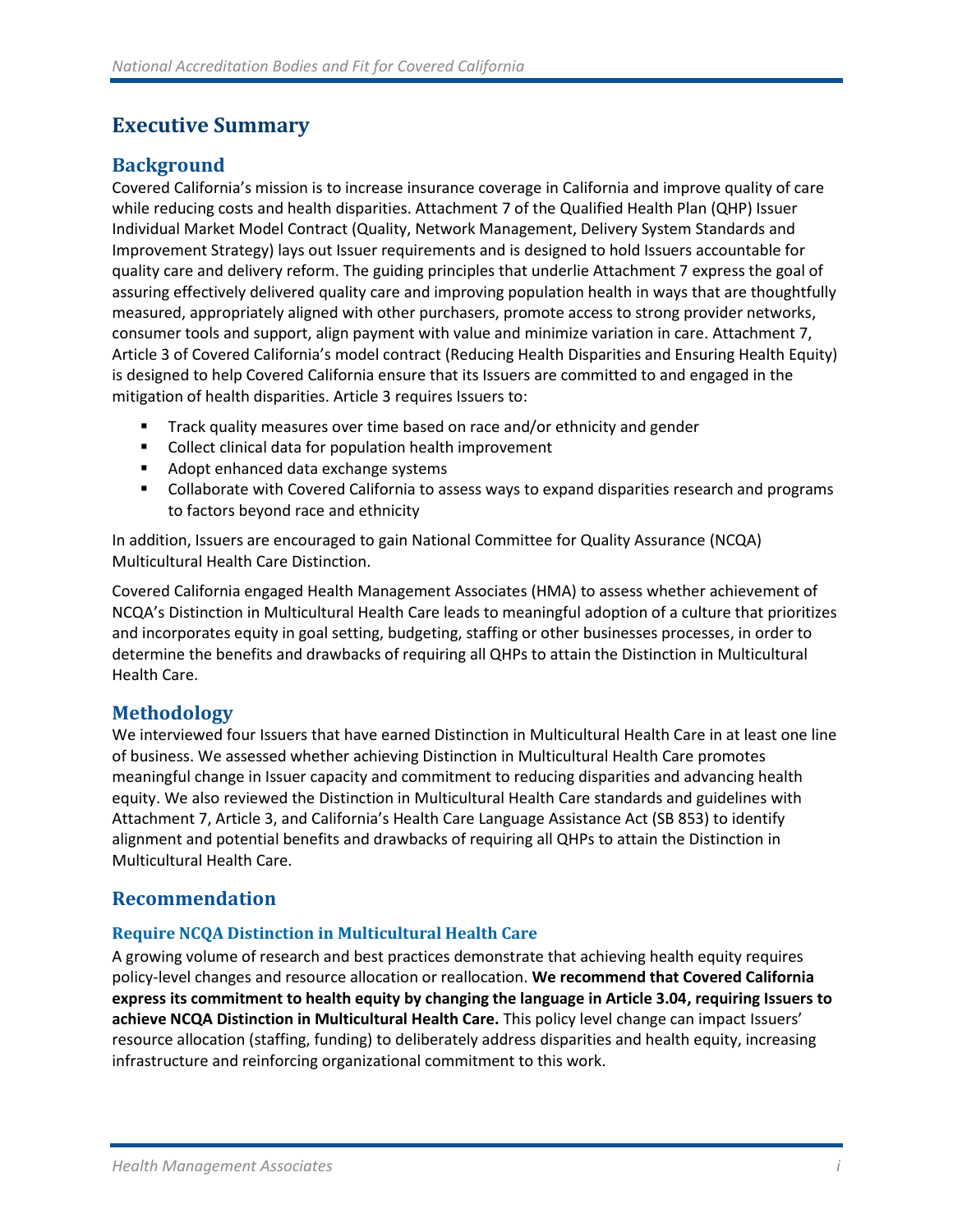# <span id="page-2-0"></span>**Executive Summary**

#### **Background**

Covered California's mission is to increase insurance coverage in California and improve quality of care while reducing costs and health disparities. Attachment 7 of the Qualified Health Plan (QHP) Issuer Individual Market Model Contract (Quality, Network Management, Delivery System Standards and Improvement Strategy) lays out Issuer requirements and is designed to hold Issuers accountable for quality care and delivery reform. The guiding principles that underlie Attachment 7 express the goal of assuring effectively delivered quality care and improving population health in ways that are thoughtfully measured, appropriately aligned with other purchasers, promote access to strong provider networks, consumer tools and support, align payment with value and minimize variation in care. Attachment 7, Article 3 of Covered California's model contract (Reducing Health Disparities and Ensuring Health Equity) is designed to help Covered California ensure that its Issuers are committed to and engaged in the mitigation of health disparities. Article 3 requires Issuers to:

- **■** Track quality measures over time based on race and/or ethnicity and gender
- Collect clinical data for population health improvement
- Adopt enhanced data exchange systems
- **•** Collaborate with Covered California to assess ways to expand disparities research and programs to factors beyond race and ethnicity

In addition, Issuers are encouraged to gain National Committee for Quality Assurance (NCQA) Multicultural Health Care Distinction.

Covered California engaged Health Management Associates (HMA) to assess whether achievement of NCQA's Distinction in Multicultural Health Care leads to meaningful adoption of a culture that prioritizes and incorporates equity in goal setting, budgeting, staffing or other businesses processes, in order to determine the benefits and drawbacks of requiring all QHPs to attain the Distinction in Multicultural Health Care.

#### **Methodology**

We interviewed four Issuers that have earned Distinction in Multicultural Health Care in at least one line of business. We assessed whether achieving Distinction in Multicultural Health Care promotes meaningful change in Issuer capacity and commitment to reducing disparities and advancing health equity. We also reviewed the Distinction in Multicultural Health Care standards and guidelines with Attachment 7, Article 3, and California's Health Care Language Assistance Act (SB 853) to identify alignment and potential benefits and drawbacks of requiring all QHPs to attain the Distinction in Multicultural Health Care.

#### **Recommendation**

#### **Require NCQA Distinction in Multicultural Health Care**

A growing volume of research and best practices demonstrate that achieving health equity requires policy-level changes and resource allocation or reallocation. **We recommend that Covered California express its commitment to health equity by changing the language in Article 3.04, requiring Issuers to achieve NCQA Distinction in Multicultural Health Care.** This policy level change can impact Issuers' resource allocation (staffing, funding) to deliberately address disparities and health equity, increasing infrastructure and reinforcing organizational commitment to this work.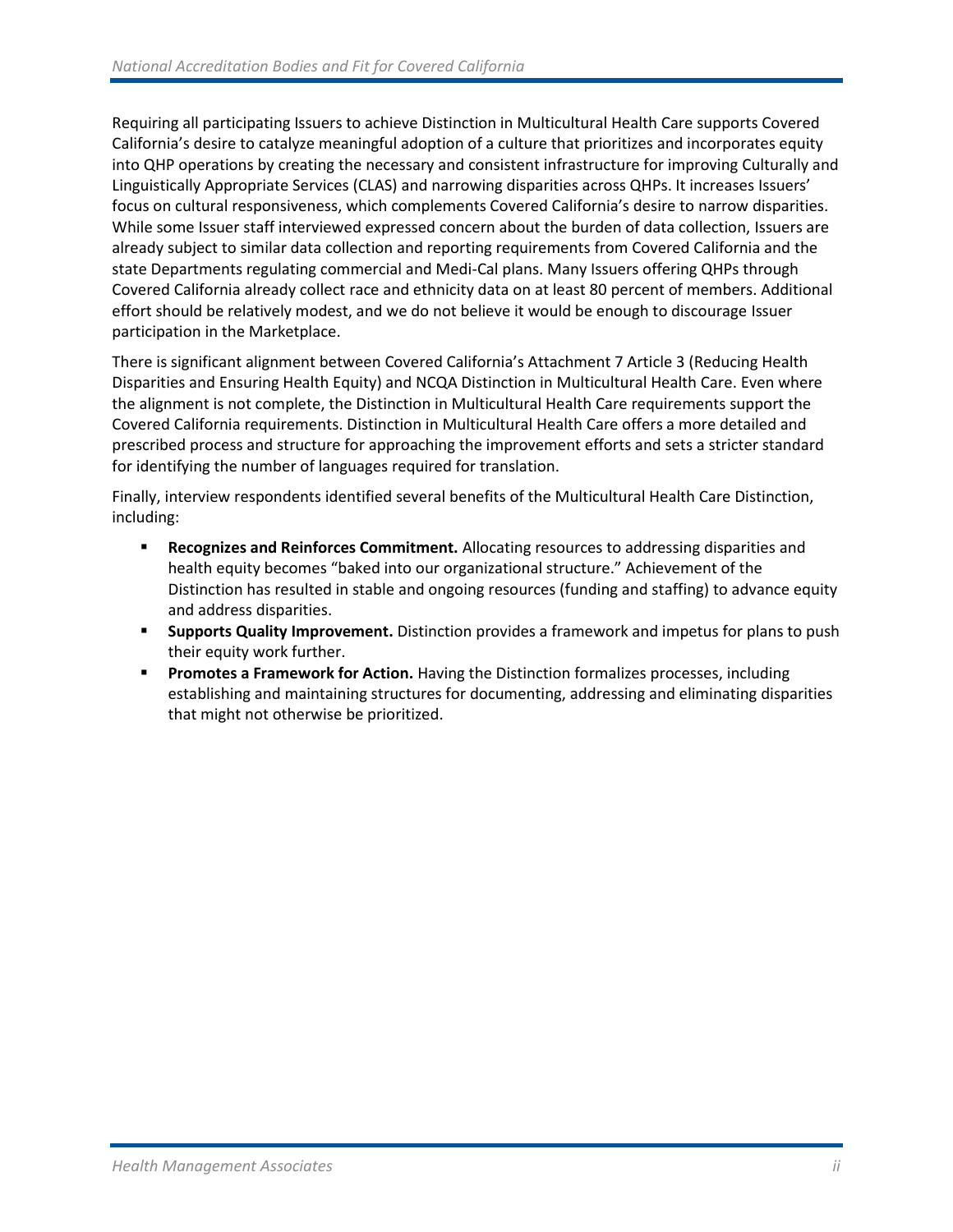Requiring all participating Issuers to achieve Distinction in Multicultural Health Care supports Covered California's desire to catalyze meaningful adoption of a culture that prioritizes and incorporates equity into QHP operations by creating the necessary and consistent infrastructure for improving Culturally and Linguistically Appropriate Services (CLAS) and narrowing disparities across QHPs. It increases Issuers' focus on cultural responsiveness, which complements Covered California's desire to narrow disparities. While some Issuer staff interviewed expressed concern about the burden of data collection, Issuers are already subject to similar data collection and reporting requirements from Covered California and the state Departments regulating commercial and Medi-Cal plans. Many Issuers offering QHPs through Covered California already collect race and ethnicity data on at least 80 percent of members. Additional effort should be relatively modest, and we do not believe it would be enough to discourage Issuer participation in the Marketplace.

There is significant alignment between Covered California's Attachment 7 Article 3 (Reducing Health Disparities and Ensuring Health Equity) and NCQA Distinction in Multicultural Health Care. Even where the alignment is not complete, the Distinction in Multicultural Health Care requirements support the Covered California requirements. Distinction in Multicultural Health Care offers a more detailed and prescribed process and structure for approaching the improvement efforts and sets a stricter standard for identifying the number of languages required for translation.

Finally, interview respondents identified several benefits of the Multicultural Health Care Distinction, including:

- **Recognizes and Reinforces Commitment.** Allocating resources to addressing disparities and health equity becomes "baked into our organizational structure." Achievement of the Distinction has resulted in stable and ongoing resources (funding and staffing) to advance equity and address disparities.
- **EXECT Supports Quality Improvement.** Distinction provides a framework and impetus for plans to push their equity work further.
- <span id="page-3-0"></span>**Promotes a Framework for Action.** Having the Distinction formalizes processes, including establishing and maintaining structures for documenting, addressing and eliminating disparities that might not otherwise be prioritized.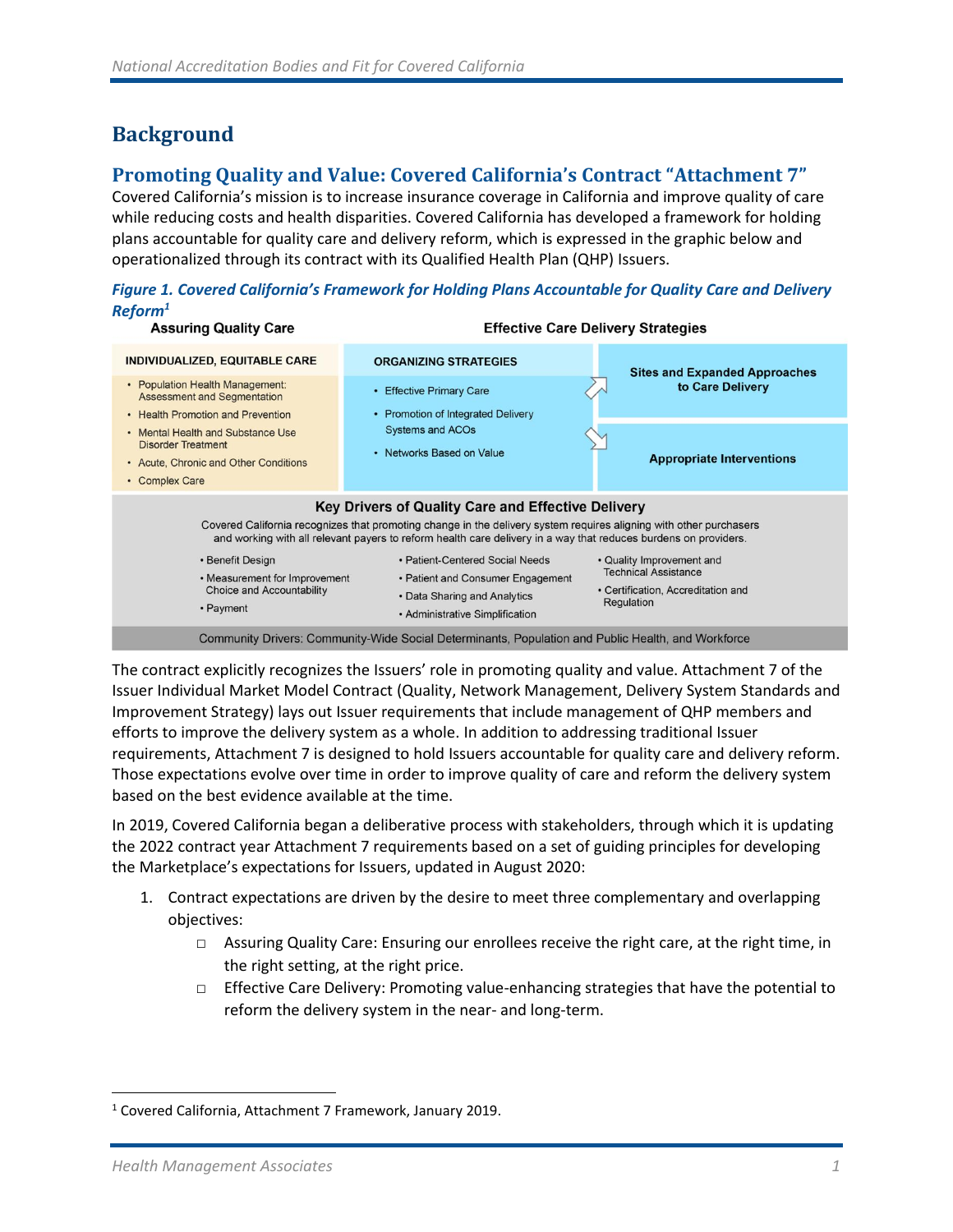# **Background**

#### <span id="page-4-0"></span>**Promoting Quality and Value: Covered California's Contract "Attachment 7"**

Covered California's mission is to increase insurance coverage in California and improve quality of care while reducing costs and health disparities. Covered California has developed a framework for holding plans accountable for quality care and delivery reform, which is expressed in the graphic below and operationalized through its contract with its Qualified Health Plan (QHP) Issuers.

*Figure 1. Covered California's Framework for Holding Plans Accountable for Quality Care and Delivery Reform<sup>1</sup>*



The contract explicitly recognizes the Issuers' role in promoting quality and value. Attachment 7 of the Issuer Individual Market Model Contract (Quality, Network Management, Delivery System Standards and Improvement Strategy) lays out Issuer requirements that include management of QHP members and efforts to improve the delivery system as a whole. In addition to addressing traditional Issuer requirements, Attachment 7 is designed to hold Issuers accountable for quality care and delivery reform. Those expectations evolve over time in order to improve quality of care and reform the delivery system based on the best evidence available at the time.

In 2019, Covered California began a deliberative process with stakeholders, through which it is updating the 2022 contract year Attachment 7 requirements based on a set of guiding principles for developing the Marketplace's expectations for Issuers, updated in August 2020:

- 1. Contract expectations are driven by the desire to meet three complementary and overlapping objectives:
	- $\Box$  Assuring Quality Care: Ensuring our enrollees receive the right care, at the right time, in the right setting, at the right price.
	- $\Box$  Effective Care Delivery: Promoting value-enhancing strategies that have the potential to reform the delivery system in the near- and long-term.

<sup>1</sup> Covered California, Attachment 7 Framework, January 2019.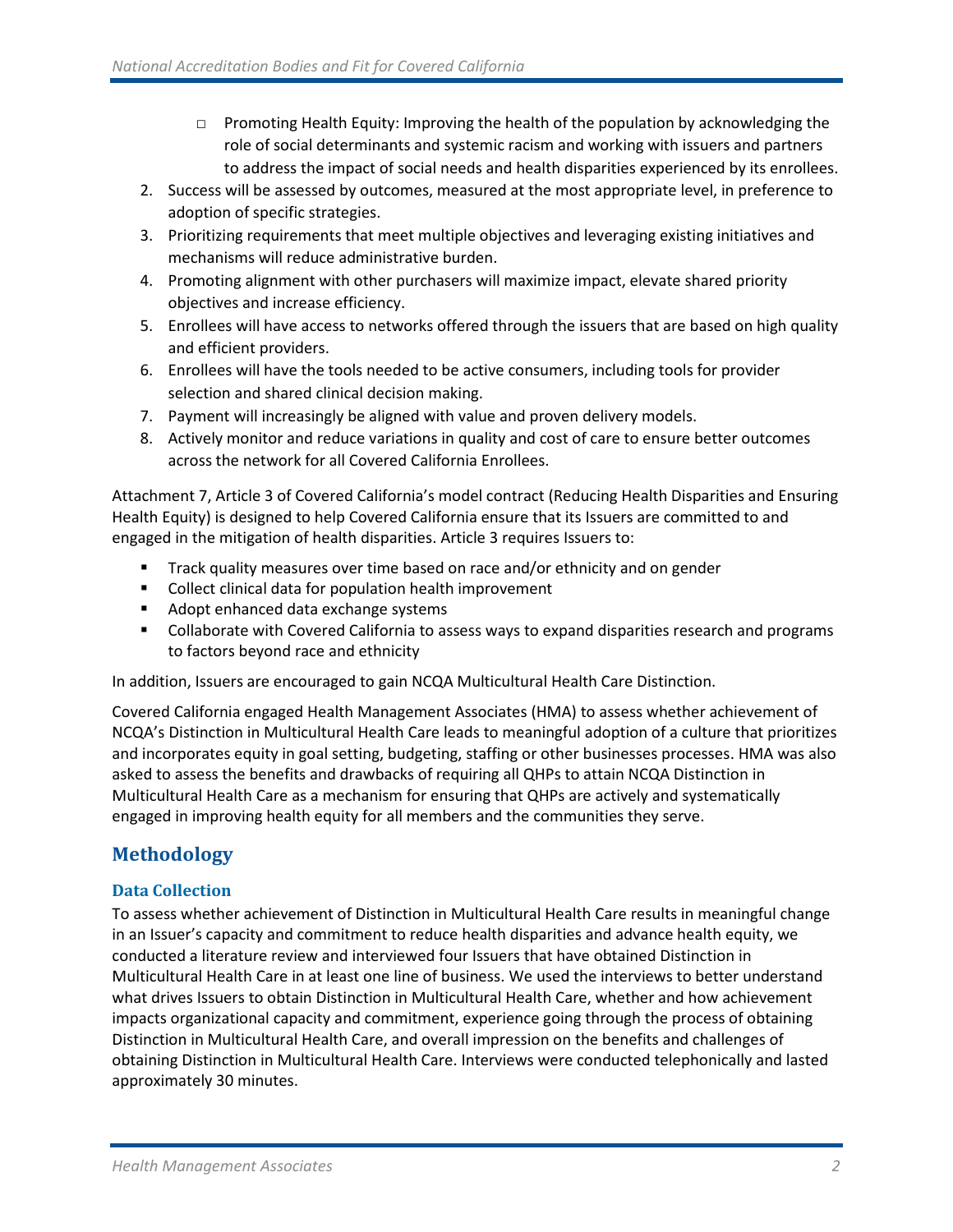- $\Box$  Promoting Health Equity: Improving the health of the population by acknowledging the role of social determinants and systemic racism and working with issuers and partners to address the impact of social needs and health disparities experienced by its enrollees.
- 2. Success will be assessed by outcomes, measured at the most appropriate level, in preference to adoption of specific strategies.
- 3. Prioritizing requirements that meet multiple objectives and leveraging existing initiatives and mechanisms will reduce administrative burden.
- 4. Promoting alignment with other purchasers will maximize impact, elevate shared priority objectives and increase efficiency.
- 5. Enrollees will have access to networks offered through the issuers that are based on high quality and efficient providers.
- 6. Enrollees will have the tools needed to be active consumers, including tools for provider selection and shared clinical decision making.
- 7. Payment will increasingly be aligned with value and proven delivery models.
- 8. Actively monitor and reduce variations in quality and cost of care to ensure better outcomes across the network for all Covered California Enrollees.

Attachment 7, Article 3 of Covered California's model contract (Reducing Health Disparities and Ensuring Health Equity) is designed to help Covered California ensure that its Issuers are committed to and engaged in the mitigation of health disparities. Article 3 requires Issuers to:

- Track quality measures over time based on race and/or ethnicity and on gender
- Collect clinical data for population health improvement
- Adopt enhanced data exchange systems
- **•** Collaborate with Covered California to assess ways to expand disparities research and programs to factors beyond race and ethnicity

In addition, Issuers are encouraged to gain NCQA Multicultural Health Care Distinction.

Covered California engaged Health Management Associates (HMA) to assess whether achievement of NCQA's Distinction in Multicultural Health Care leads to meaningful adoption of a culture that prioritizes and incorporates equity in goal setting, budgeting, staffing or other businesses processes. HMA was also asked to assess the benefits and drawbacks of requiring all QHPs to attain NCQA Distinction in Multicultural Health Care as a mechanism for ensuring that QHPs are actively and systematically engaged in improving health equity for all members and the communities they serve.

## <span id="page-5-0"></span>**Methodology**

#### **Data Collection**

To assess whether achievement of Distinction in Multicultural Health Care results in meaningful change in an Issuer's capacity and commitment to reduce health disparities and advance health equity, we conducted a literature review and interviewed four Issuers that have obtained Distinction in Multicultural Health Care in at least one line of business. We used the interviews to better understand what drives Issuers to obtain Distinction in Multicultural Health Care, whether and how achievement impacts organizational capacity and commitment, experience going through the process of obtaining Distinction in Multicultural Health Care, and overall impression on the benefits and challenges of obtaining Distinction in Multicultural Health Care. Interviews were conducted telephonically and lasted approximately 30 minutes.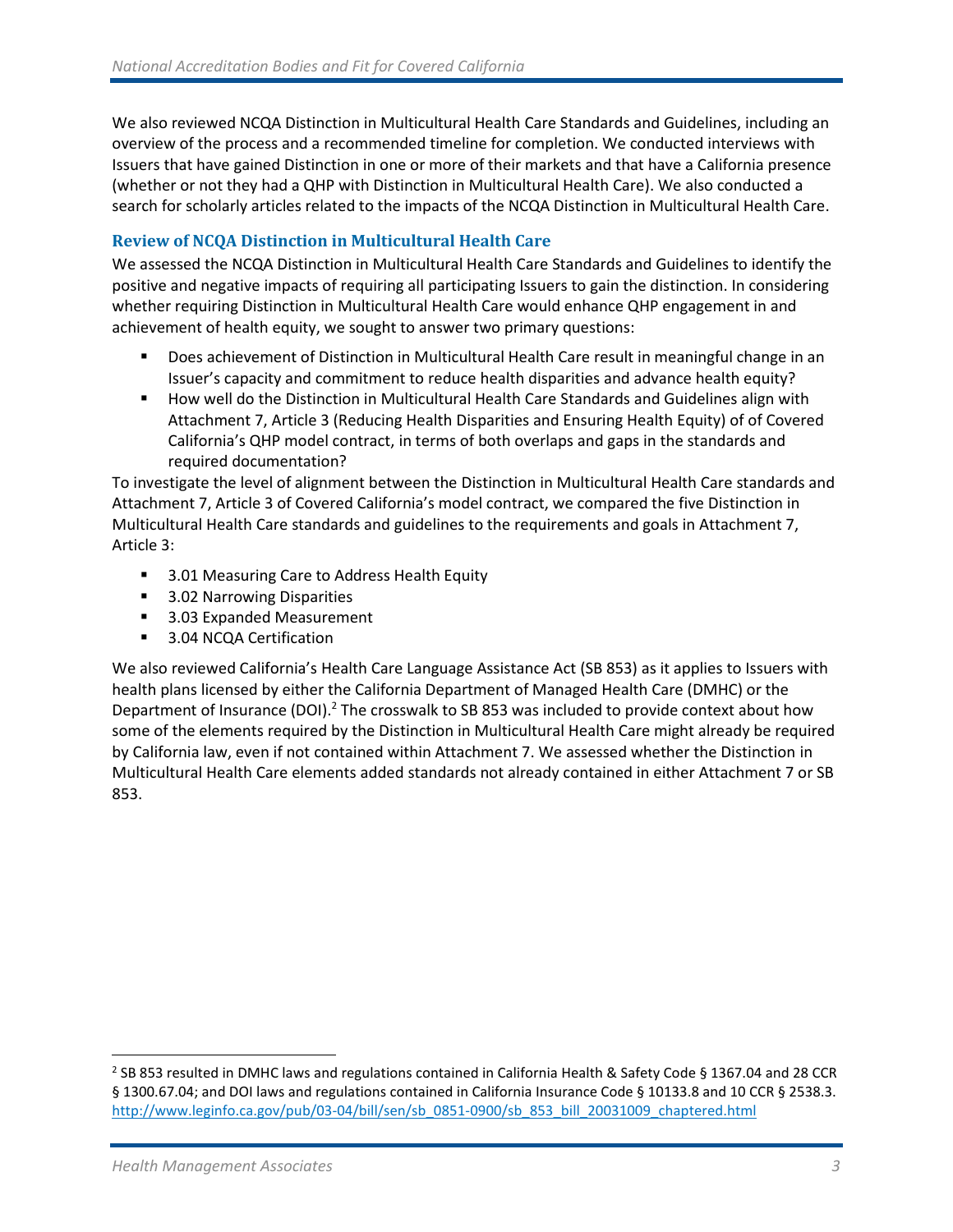We also reviewed NCQA Distinction in Multicultural Health Care Standards and Guidelines, including an overview of the process and a recommended timeline for completion. We conducted interviews with Issuers that have gained Distinction in one or more of their markets and that have a California presence (whether or not they had a QHP with Distinction in Multicultural Health Care). We also conducted a search for scholarly articles related to the impacts of the NCQA Distinction in Multicultural Health Care.

#### **Review of NCQA Distinction in Multicultural Health Care**

We assessed the NCQA Distinction in Multicultural Health Care Standards and Guidelines to identify the positive and negative impacts of requiring all participating Issuers to gain the distinction. In considering whether requiring Distinction in Multicultural Health Care would enhance QHP engagement in and achievement of health equity, we sought to answer two primary questions:

- Does achievement of Distinction in Multicultural Health Care result in meaningful change in an Issuer's capacity and commitment to reduce health disparities and advance health equity?
- **■** How well do the Distinction in Multicultural Health Care Standards and Guidelines align with Attachment 7, Article 3 (Reducing Health Disparities and Ensuring Health Equity) of of Covered California's QHP model contract, in terms of both overlaps and gaps in the standards and required documentation?

To investigate the level of alignment between the Distinction in Multicultural Health Care standards and Attachment 7, Article 3 of Covered California's model contract, we compared the five Distinction in Multicultural Health Care standards and guidelines to the requirements and goals in Attachment 7, Article 3:

- 3.01 Measuring Care to Address Health Equity
- 3.02 Narrowing Disparities
- 3.03 Expanded Measurement
- 3.04 NCQA Certification

We also reviewed California's Health Care Language Assistance Act (SB 853) as it applies to Issuers with health plans licensed by either the California Department of Managed Health Care (DMHC) or the Department of Insurance (DOI).<sup>2</sup> The crosswalk to SB 853 was included to provide context about how some of the elements required by the Distinction in Multicultural Health Care might already be required by California law, even if not contained within Attachment 7. We assessed whether the Distinction in Multicultural Health Care elements added standards not already contained in either Attachment 7 or SB 853.

<sup>2</sup> SB 853 resulted in DMHC laws and regulations contained in California Health & Safety Code § 1367.04 and 28 CCR § 1300.67.04; and DOI laws and regulations contained in California Insurance Code § 10133.8 and 10 CCR § 2538.3. [http://www.leginfo.ca.gov/pub/03-04/bill/sen/sb\\_0851-0900/sb\\_853\\_bill\\_20031009\\_chaptered.html](http://www.leginfo.ca.gov/pub/03-04/bill/sen/sb_0851-0900/sb_853_bill_20031009_chaptered.html)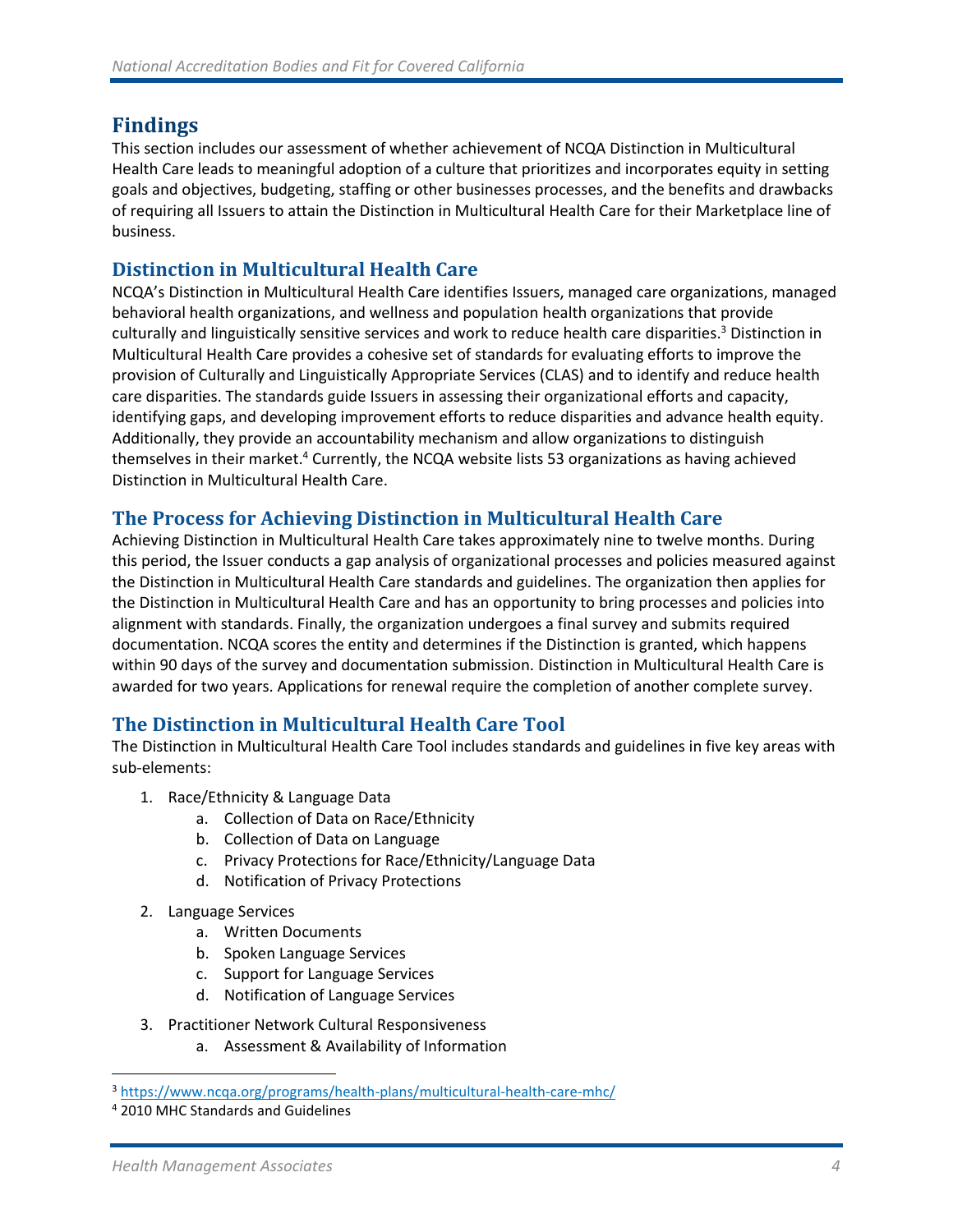### <span id="page-7-0"></span>**Findings**

This section includes our assessment of whether achievement of NCQA Distinction in Multicultural Health Care leads to meaningful adoption of a culture that prioritizes and incorporates equity in setting goals and objectives, budgeting, staffing or other businesses processes, and the benefits and drawbacks of requiring all Issuers to attain the Distinction in Multicultural Health Care for their Marketplace line of business.

### <span id="page-7-1"></span>**Distinction in Multicultural Health Care**

NCQA's Distinction in Multicultural Health Care identifies Issuers, managed care organizations, managed behavioral health organizations, and wellness and population health organizations that provide culturally and linguistically sensitive services and work to reduce health care disparities.<sup>3</sup> Distinction in Multicultural Health Care provides a cohesive set of standards for evaluating efforts to improve the provision of Culturally and Linguistically Appropriate Services (CLAS) and to identify and reduce health care disparities. The standards guide Issuers in assessing their organizational efforts and capacity, identifying gaps, and developing improvement efforts to reduce disparities and advance health equity. Additionally, they provide an accountability mechanism and allow organizations to distinguish themselves in their market.<sup>4</sup> Currently, the NCQA website lists 53 organizations as having achieved Distinction in Multicultural Health Care.

#### <span id="page-7-2"></span>**The Process for Achieving Distinction in Multicultural Health Care**

Achieving Distinction in Multicultural Health Care takes approximately nine to twelve months. During this period, the Issuer conducts a gap analysis of organizational processes and policies measured against the Distinction in Multicultural Health Care standards and guidelines. The organization then applies for the Distinction in Multicultural Health Care and has an opportunity to bring processes and policies into alignment with standards. Finally, the organization undergoes a final survey and submits required documentation. NCQA scores the entity and determines if the Distinction is granted, which happens within 90 days of the survey and documentation submission. Distinction in Multicultural Health Care is awarded for two years. Applications for renewal require the completion of another complete survey.

#### <span id="page-7-3"></span>**The Distinction in Multicultural Health Care Tool**

The Distinction in Multicultural Health Care Tool includes standards and guidelines in five key areas with sub-elements:

- 1. Race/Ethnicity & Language Data
	- a. Collection of Data on Race/Ethnicity
	- b. Collection of Data on Language
	- c. Privacy Protections for Race/Ethnicity/Language Data
	- d. Notification of Privacy Protections
- 2. Language Services
	- a. Written Documents
	- b. Spoken Language Services
	- c. Support for Language Services
	- d. Notification of Language Services
- 3. Practitioner Network Cultural Responsiveness
	- a. Assessment & Availability of Information

<sup>3</sup> <https://www.ncqa.org/programs/health-plans/multicultural-health-care-mhc/>

<sup>4</sup> 2010 MHC Standards and Guidelines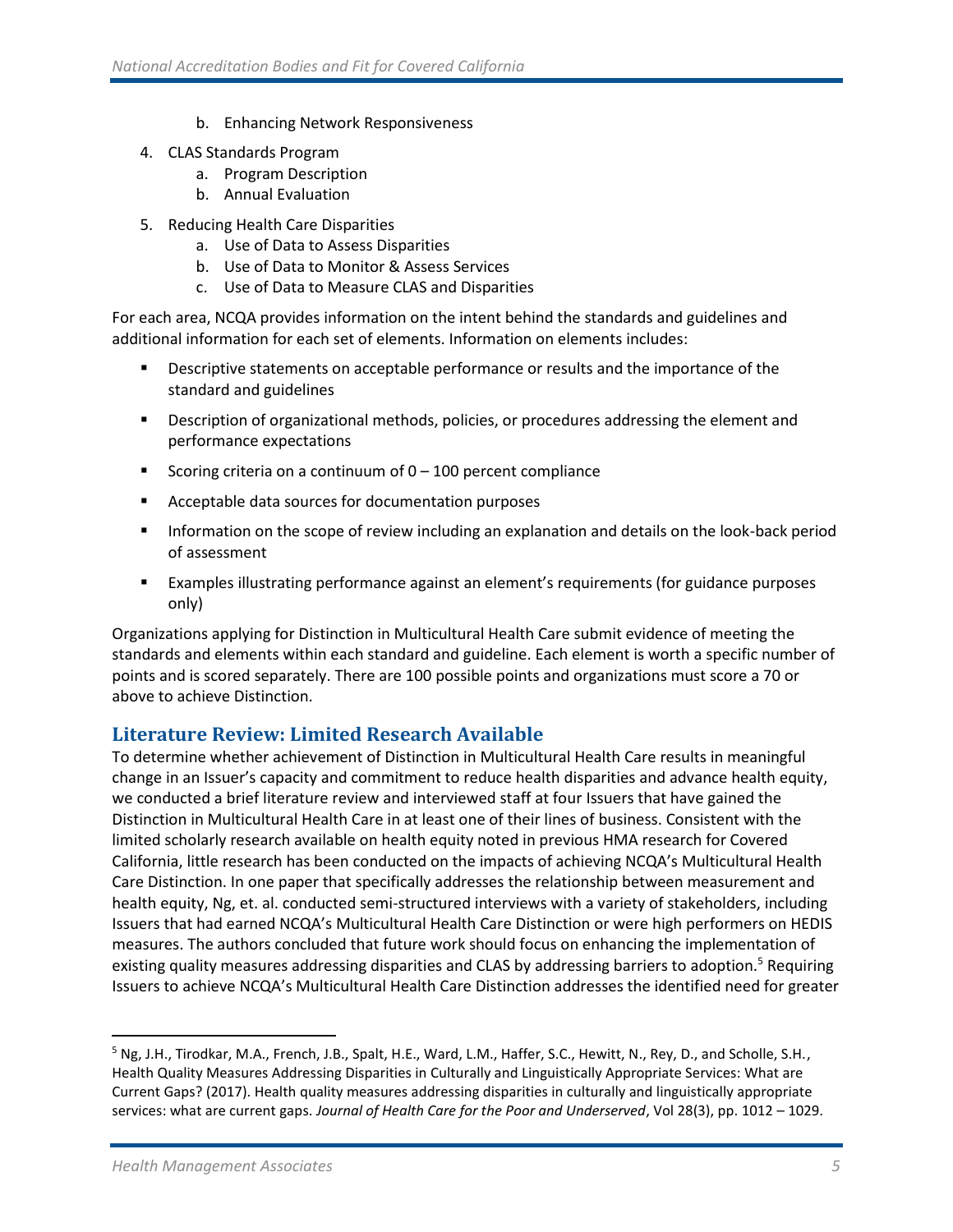- b. Enhancing Network Responsiveness
- 4. CLAS Standards Program
	- a. Program Description
	- b. Annual Evaluation
- 5. Reducing Health Care Disparities
	- a. Use of Data to Assess Disparities
	- b. Use of Data to Monitor & Assess Services
	- c. Use of Data to Measure CLAS and Disparities

For each area, NCQA provides information on the intent behind the standards and guidelines and additional information for each set of elements. Information on elements includes:

- Descriptive statements on acceptable performance or results and the importance of the standard and guidelines
- **•** Description of organizational methods, policies, or procedures addressing the element and performance expectations
- Scoring criteria on a continuum of  $0 100$  percent compliance
- Acceptable data sources for documentation purposes
- **■** Information on the scope of review including an explanation and details on the look-back period of assessment
- Examples illustrating performance against an element's requirements (for guidance purposes only)

Organizations applying for Distinction in Multicultural Health Care submit evidence of meeting the standards and elements within each standard and guideline. Each element is worth a specific number of points and is scored separately. There are 100 possible points and organizations must score a 70 or above to achieve Distinction.

#### <span id="page-8-0"></span>**Literature Review: Limited Research Available**

To determine whether achievement of Distinction in Multicultural Health Care results in meaningful change in an Issuer's capacity and commitment to reduce health disparities and advance health equity, we conducted a brief literature review and interviewed staff at four Issuers that have gained the Distinction in Multicultural Health Care in at least one of their lines of business. Consistent with the limited scholarly research available on health equity noted in previous HMA research for Covered California, little research has been conducted on the impacts of achieving NCQA's Multicultural Health Care Distinction. In one paper that specifically addresses the relationship between measurement and health equity, Ng, et. al. conducted semi-structured interviews with a variety of stakeholders, including Issuers that had earned NCQA's Multicultural Health Care Distinction or were high performers on HEDIS measures. The authors concluded that future work should focus on enhancing the implementation of existing quality measures addressing disparities and CLAS by addressing barriers to adoption.<sup>5</sup> Requiring Issuers to achieve NCQA's Multicultural Health Care Distinction addresses the identified need for greater

<sup>5</sup> Ng, J.H., Tirodkar, M.A., French, J.B., Spalt, H.E., Ward, L.M., Haffer, S.C., Hewitt, N., Rey, D., and Scholle, S.H., Health Quality Measures Addressing Disparities in Culturally and Linguistically Appropriate Services: What are Current Gaps? (2017). Health quality measures addressing disparities in culturally and linguistically appropriate services: what are current gaps. *Journal of Health Care for the Poor and Underserved*, Vol 28(3), pp. 1012 – 1029.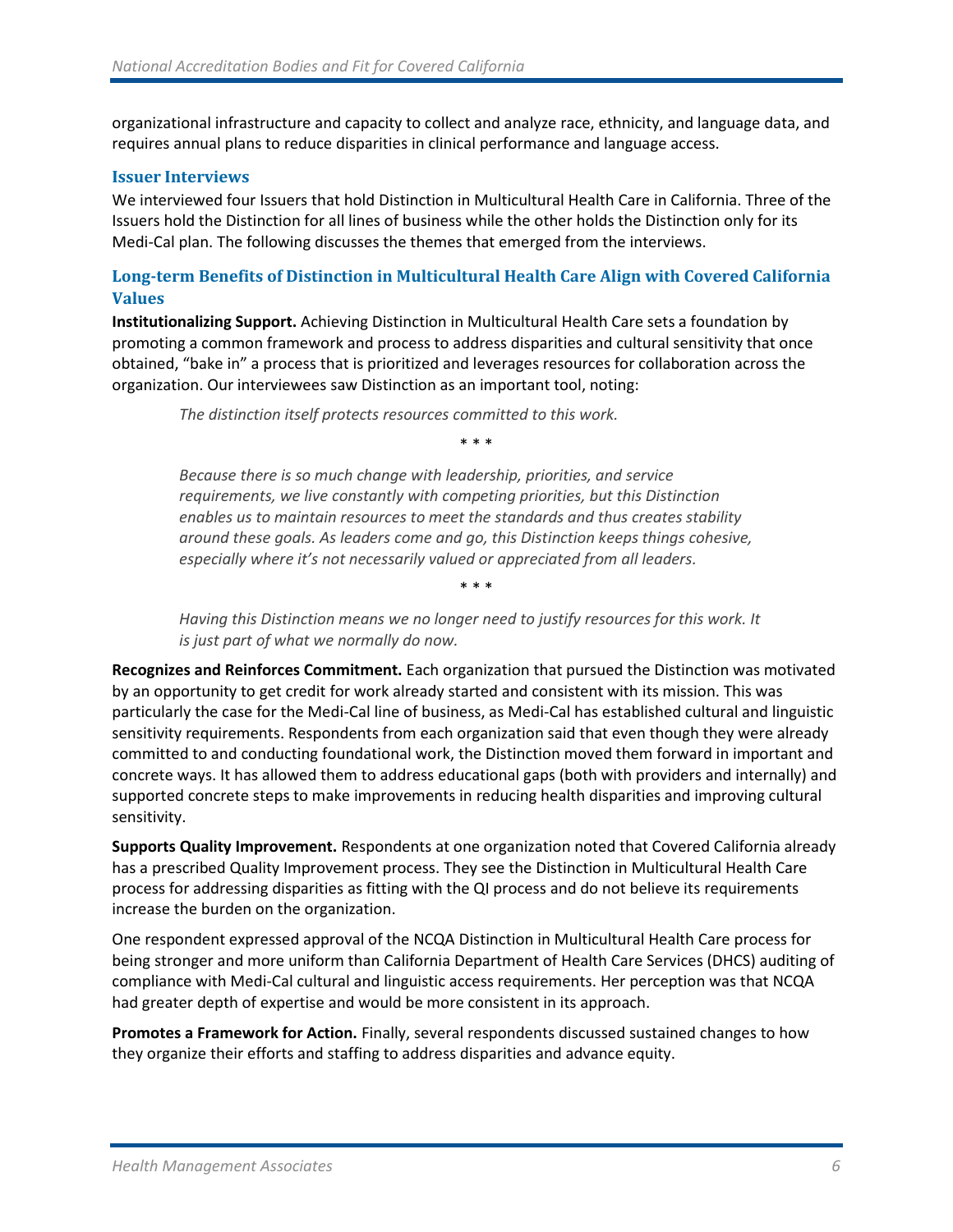organizational infrastructure and capacity to collect and analyze race, ethnicity, and language data, and requires annual plans to reduce disparities in clinical performance and language access.

#### **Issuer Interviews**

We interviewed four Issuers that hold Distinction in Multicultural Health Care in California. Three of the Issuers hold the Distinction for all lines of business while the other holds the Distinction only for its Medi-Cal plan. The following discusses the themes that emerged from the interviews.

#### **Long-term Benefits of Distinction in Multicultural Health Care Align with Covered California Values**

**Institutionalizing Support.** Achieving Distinction in Multicultural Health Care sets a foundation by promoting a common framework and process to address disparities and cultural sensitivity that once obtained, "bake in" a process that is prioritized and leverages resources for collaboration across the organization. Our interviewees saw Distinction as an important tool, noting:

*The distinction itself protects resources committed to this work.*

\* \* \*

*Because there is so much change with leadership, priorities, and service requirements, we live constantly with competing priorities, but this Distinction enables us to maintain resources to meet the standards and thus creates stability around these goals. As leaders come and go, this Distinction keeps things cohesive, especially where it's not necessarily valued or appreciated from all leaders.*

\* \* \*

*Having this Distinction means we no longer need to justify resources for this work. It is just part of what we normally do now.*

**Recognizes and Reinforces Commitment.** Each organization that pursued the Distinction was motivated by an opportunity to get credit for work already started and consistent with its mission. This was particularly the case for the Medi-Cal line of business, as Medi-Cal has established cultural and linguistic sensitivity requirements. Respondents from each organization said that even though they were already committed to and conducting foundational work, the Distinction moved them forward in important and concrete ways. It has allowed them to address educational gaps (both with providers and internally) and supported concrete steps to make improvements in reducing health disparities and improving cultural sensitivity.

**Supports Quality Improvement.** Respondents at one organization noted that Covered California already has a prescribed Quality Improvement process. They see the Distinction in Multicultural Health Care process for addressing disparities as fitting with the QI process and do not believe its requirements increase the burden on the organization.

One respondent expressed approval of the NCQA Distinction in Multicultural Health Care process for being stronger and more uniform than California Department of Health Care Services (DHCS) auditing of compliance with Medi-Cal cultural and linguistic access requirements. Her perception was that NCQA had greater depth of expertise and would be more consistent in its approach.

**Promotes a Framework for Action.** Finally, several respondents discussed sustained changes to how they organize their efforts and staffing to address disparities and advance equity.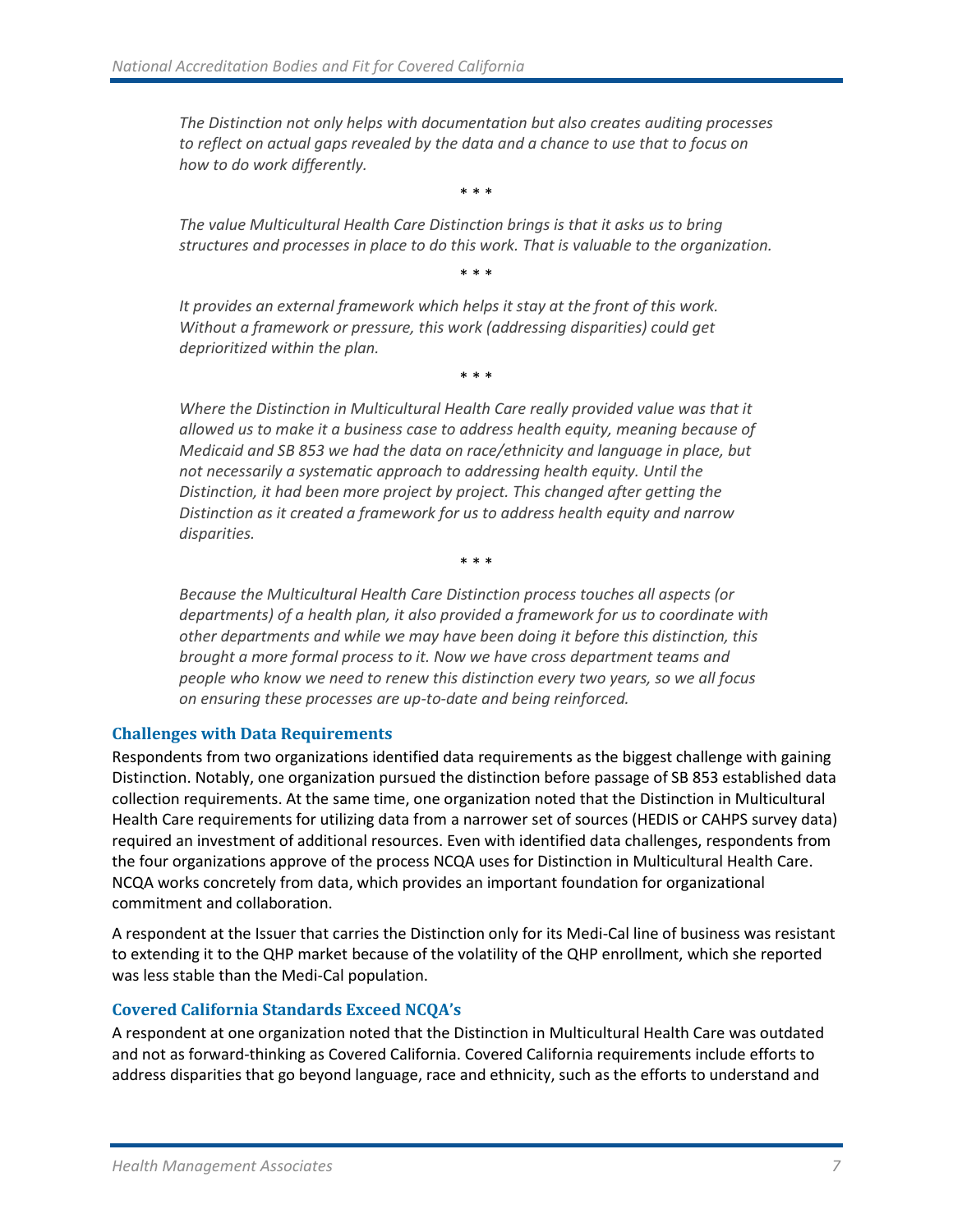*The Distinction not only helps with documentation but also creates auditing processes to reflect on actual gaps revealed by the data and a chance to use that to focus on how to do work differently.*

*The value Multicultural Health Care Distinction brings is that it asks us to bring structures and processes in place to do this work. That is valuable to the organization.*

\* \* \*

\* \* \*

*It provides an external framework which helps it stay at the front of this work. Without a framework or pressure, this work (addressing disparities) could get deprioritized within the plan.*

\* \* \*

*Where the Distinction in Multicultural Health Care really provided value was that it allowed us to make it a business case to address health equity, meaning because of Medicaid and SB 853 we had the data on race/ethnicity and language in place, but not necessarily a systematic approach to addressing health equity. Until the Distinction, it had been more project by project. This changed after getting the Distinction as it created a framework for us to address health equity and narrow disparities.*

\* \* \*

*Because the Multicultural Health Care Distinction process touches all aspects (or departments) of a health plan, it also provided a framework for us to coordinate with other departments and while we may have been doing it before this distinction, this brought a more formal process to it. Now we have cross department teams and people who know we need to renew this distinction every two years, so we all focus on ensuring these processes are up-to-date and being reinforced.*

#### **Challenges with Data Requirements**

Respondents from two organizations identified data requirements as the biggest challenge with gaining Distinction. Notably, one organization pursued the distinction before passage of SB 853 established data collection requirements. At the same time, one organization noted that the Distinction in Multicultural Health Care requirements for utilizing data from a narrower set of sources (HEDIS or CAHPS survey data) required an investment of additional resources. Even with identified data challenges, respondents from the four organizations approve of the process NCQA uses for Distinction in Multicultural Health Care. NCQA works concretely from data, which provides an important foundation for organizational commitment and collaboration.

A respondent at the Issuer that carries the Distinction only for its Medi-Cal line of business was resistant to extending it to the QHP market because of the volatility of the QHP enrollment, which she reported was less stable than the Medi-Cal population.

#### **Covered California Standards Exceed NCQA's**

A respondent at one organization noted that the Distinction in Multicultural Health Care was outdated and not as forward-thinking as Covered California. Covered California requirements include efforts to address disparities that go beyond language, race and ethnicity, such as the efforts to understand and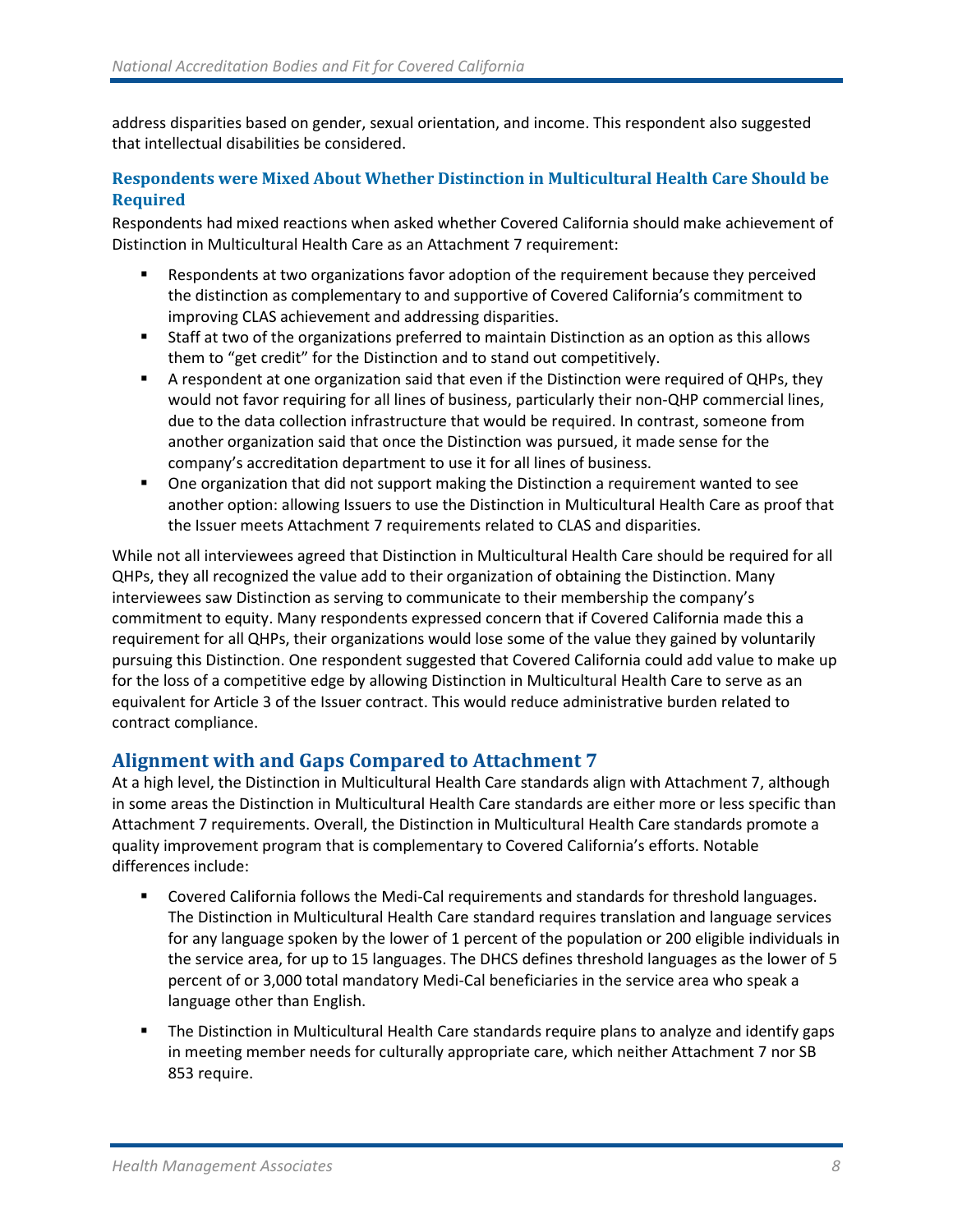address disparities based on gender, sexual orientation, and income. This respondent also suggested that intellectual disabilities be considered.

#### **Respondents were Mixed About Whether Distinction in Multicultural Health Care Should be Required**

Respondents had mixed reactions when asked whether Covered California should make achievement of Distinction in Multicultural Health Care as an Attachment 7 requirement:

- Respondents at two organizations favor adoption of the requirement because they perceived the distinction as complementary to and supportive of Covered California's commitment to improving CLAS achievement and addressing disparities.
- Staff at two of the organizations preferred to maintain Distinction as an option as this allows them to "get credit" for the Distinction and to stand out competitively.
- A respondent at one organization said that even if the Distinction were required of QHPs, they would not favor requiring for all lines of business, particularly their non-QHP commercial lines, due to the data collection infrastructure that would be required. In contrast, someone from another organization said that once the Distinction was pursued, it made sense for the company's accreditation department to use it for all lines of business.
- One organization that did not support making the Distinction a requirement wanted to see another option: allowing Issuers to use the Distinction in Multicultural Health Care as proof that the Issuer meets Attachment 7 requirements related to CLAS and disparities.

While not all interviewees agreed that Distinction in Multicultural Health Care should be required for all QHPs, they all recognized the value add to their organization of obtaining the Distinction. Many interviewees saw Distinction as serving to communicate to their membership the company's commitment to equity. Many respondents expressed concern that if Covered California made this a requirement for all QHPs, their organizations would lose some of the value they gained by voluntarily pursuing this Distinction. One respondent suggested that Covered California could add value to make up for the loss of a competitive edge by allowing Distinction in Multicultural Health Care to serve as an equivalent for Article 3 of the Issuer contract. This would reduce administrative burden related to contract compliance.

#### <span id="page-11-0"></span>**Alignment with and Gaps Compared to Attachment 7**

At a high level, the Distinction in Multicultural Health Care standards align with Attachment 7, although in some areas the Distinction in Multicultural Health Care standards are either more or less specific than Attachment 7 requirements. Overall, the Distinction in Multicultural Health Care standards promote a quality improvement program that is complementary to Covered California's efforts. Notable differences include:

- Covered California follows the Medi-Cal requirements and standards for threshold languages. The Distinction in Multicultural Health Care standard requires translation and language services for any language spoken by the lower of 1 percent of the population or 200 eligible individuals in the service area, for up to 15 languages. The DHCS defines threshold languages as the lower of 5 percent of or 3,000 total mandatory Medi-Cal beneficiaries in the service area who speak a language other than English.
- The Distinction in Multicultural Health Care standards require plans to analyze and identify gaps in meeting member needs for culturally appropriate care, which neither Attachment 7 nor SB 853 require.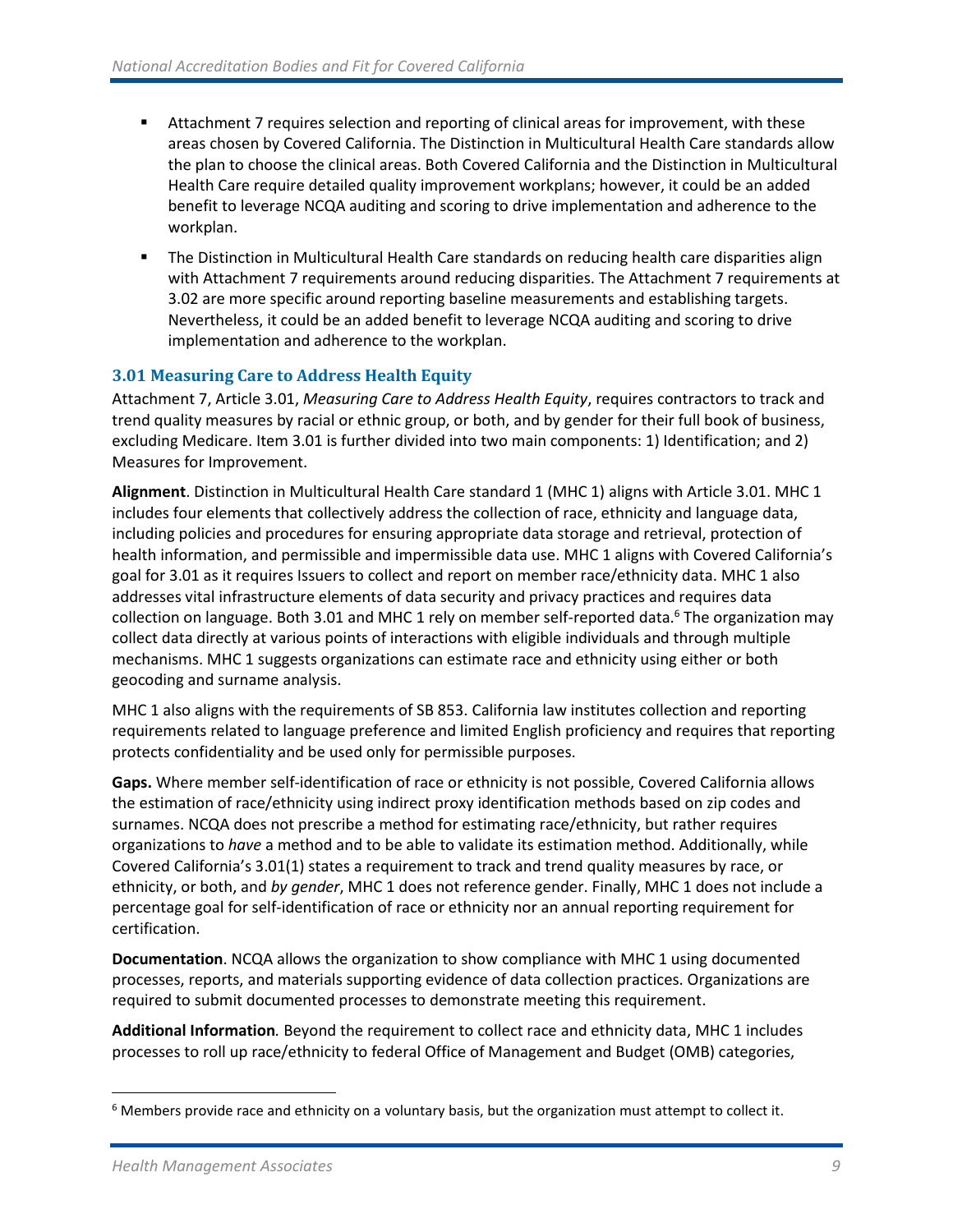- Attachment 7 requires selection and reporting of clinical areas for improvement, with these areas chosen by Covered California. The Distinction in Multicultural Health Care standards allow the plan to choose the clinical areas. Both Covered California and the Distinction in Multicultural Health Care require detailed quality improvement workplans; however, it could be an added benefit to leverage NCQA auditing and scoring to drive implementation and adherence to the workplan.
- **•** The Distinction in Multicultural Health Care standards on reducing health care disparities align with Attachment 7 requirements around reducing disparities. The Attachment 7 requirements at 3.02 are more specific around reporting baseline measurements and establishing targets. Nevertheless, it could be an added benefit to leverage NCQA auditing and scoring to drive implementation and adherence to the workplan.

#### **3.01 Measuring Care to Address Health Equity**

Attachment 7, Article 3.01, *Measuring Care to Address Health Equity*, requires contractors to track and trend quality measures by racial or ethnic group, or both, and by gender for their full book of business, excluding Medicare. Item 3.01 is further divided into two main components: 1) Identification; and 2) Measures for Improvement.

**Alignment**. Distinction in Multicultural Health Care standard 1 (MHC 1) aligns with Article 3.01. MHC 1 includes four elements that collectively address the collection of race, ethnicity and language data, including policies and procedures for ensuring appropriate data storage and retrieval, protection of health information, and permissible and impermissible data use. MHC 1 aligns with Covered California's goal for 3.01 as it requires Issuers to collect and report on member race/ethnicity data. MHC 1 also addresses vital infrastructure elements of data security and privacy practices and requires data collection on language. Both 3.01 and MHC 1 rely on member self-reported data.<sup>6</sup> The organization may collect data directly at various points of interactions with eligible individuals and through multiple mechanisms. MHC 1 suggests organizations can estimate race and ethnicity using either or both geocoding and surname analysis.

MHC 1 also aligns with the requirements of SB 853. California law institutes collection and reporting requirements related to language preference and limited English proficiency and requires that reporting protects confidentiality and be used only for permissible purposes.

**Gaps.** Where member self-identification of race or ethnicity is not possible, Covered California allows the estimation of race/ethnicity using indirect proxy identification methods based on zip codes and surnames. NCQA does not prescribe a method for estimating race/ethnicity, but rather requires organizations to *have* a method and to be able to validate its estimation method. Additionally, while Covered California's 3.01(1) states a requirement to track and trend quality measures by race, or ethnicity, or both, and *by gender*, MHC 1 does not reference gender. Finally, MHC 1 does not include a percentage goal for self-identification of race or ethnicity nor an annual reporting requirement for certification.

**Documentation**. NCQA allows the organization to show compliance with MHC 1 using documented processes, reports, and materials supporting evidence of data collection practices. Organizations are required to submit documented processes to demonstrate meeting this requirement.

**Additional Information***.* Beyond the requirement to collect race and ethnicity data, MHC 1 includes processes to roll up race/ethnicity to federal Office of Management and Budget (OMB) categories,

 $6$  Members provide race and ethnicity on a voluntary basis, but the organization must attempt to collect it.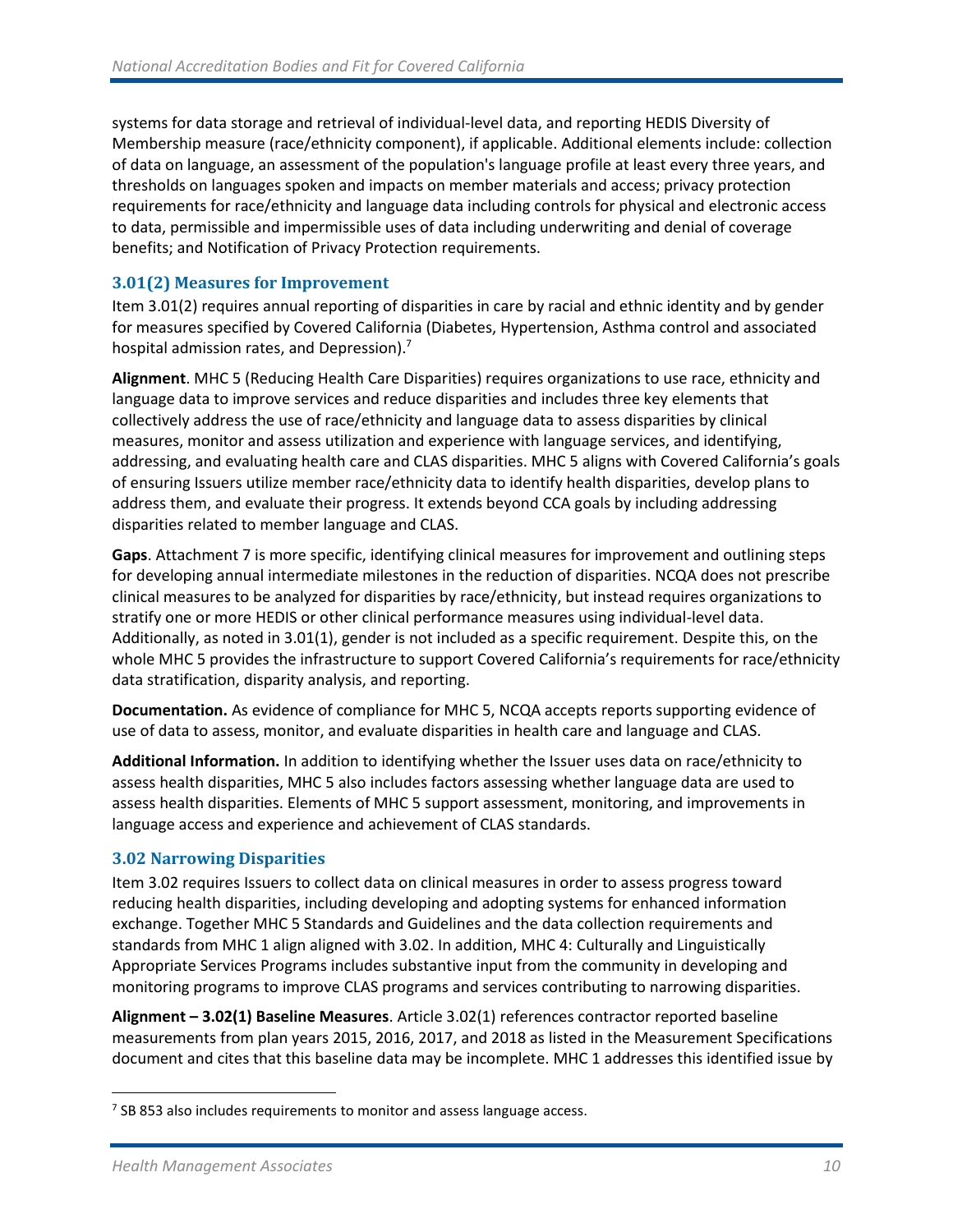systems for data storage and retrieval of individual-level data, and reporting HEDIS Diversity of Membership measure (race/ethnicity component), if applicable. Additional elements include: collection of data on language, an assessment of the population's language profile at least every three years, and thresholds on languages spoken and impacts on member materials and access; privacy protection requirements for race/ethnicity and language data including controls for physical and electronic access to data, permissible and impermissible uses of data including underwriting and denial of coverage benefits; and Notification of Privacy Protection requirements.

#### **3.01(2) Measures for Improvement**

Item 3.01(2) requires annual reporting of disparities in care by racial and ethnic identity and by gender for measures specified by Covered California (Diabetes, Hypertension, Asthma control and associated hospital admission rates, and Depression).<sup>7</sup>

**Alignment**. MHC 5 (Reducing Health Care Disparities) requires organizations to use race, ethnicity and language data to improve services and reduce disparities and includes three key elements that collectively address the use of race/ethnicity and language data to assess disparities by clinical measures, monitor and assess utilization and experience with language services, and identifying, addressing, and evaluating health care and CLAS disparities. MHC 5 aligns with Covered California's goals of ensuring Issuers utilize member race/ethnicity data to identify health disparities, develop plans to address them, and evaluate their progress. It extends beyond CCA goals by including addressing disparities related to member language and CLAS.

**Gaps**. Attachment 7 is more specific, identifying clinical measures for improvement and outlining steps for developing annual intermediate milestones in the reduction of disparities. NCQA does not prescribe clinical measures to be analyzed for disparities by race/ethnicity, but instead requires organizations to stratify one or more HEDIS or other clinical performance measures using individual-level data. Additionally, as noted in 3.01(1), gender is not included as a specific requirement. Despite this, on the whole MHC 5 provides the infrastructure to support Covered California's requirements for race/ethnicity data stratification, disparity analysis, and reporting.

**Documentation.** As evidence of compliance for MHC 5, NCQA accepts reports supporting evidence of use of data to assess, monitor, and evaluate disparities in health care and language and CLAS.

**Additional Information.** In addition to identifying whether the Issuer uses data on race/ethnicity to assess health disparities, MHC 5 also includes factors assessing whether language data are used to assess health disparities. Elements of MHC 5 support assessment, monitoring, and improvements in language access and experience and achievement of CLAS standards.

#### **3.02 Narrowing Disparities**

Item 3.02 requires Issuers to collect data on clinical measures in order to assess progress toward reducing health disparities, including developing and adopting systems for enhanced information exchange. Together MHC 5 Standards and Guidelines and the data collection requirements and standards from MHC 1 align aligned with 3.02. In addition, MHC 4: Culturally and Linguistically Appropriate Services Programs includes substantive input from the community in developing and monitoring programs to improve CLAS programs and services contributing to narrowing disparities.

**Alignment – 3.02(1) Baseline Measures**. Article 3.02(1) references contractor reported baseline measurements from plan years 2015, 2016, 2017, and 2018 as listed in the Measurement Specifications document and cites that this baseline data may be incomplete. MHC 1 addresses this identified issue by

 $7$  SB 853 also includes requirements to monitor and assess language access.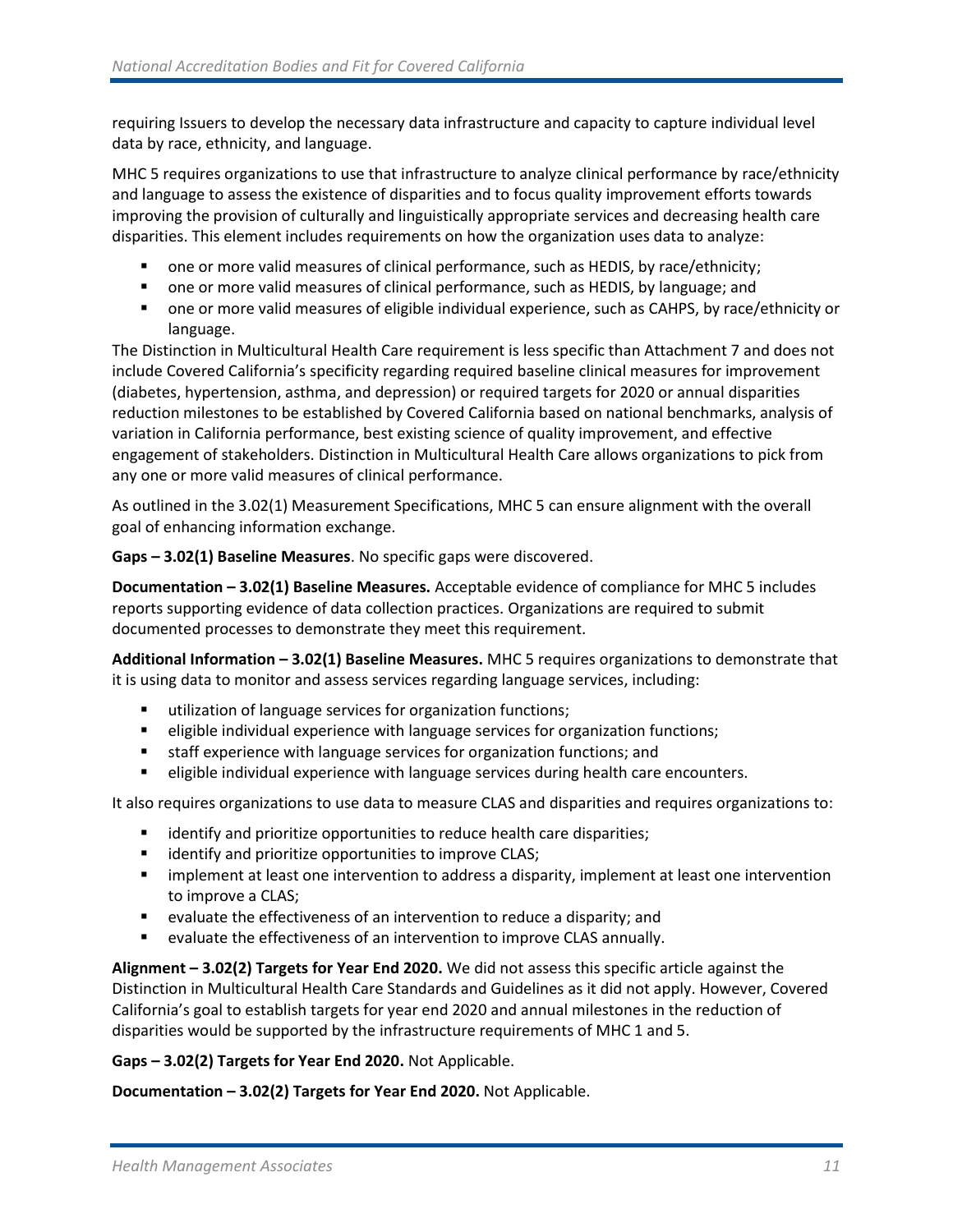requiring Issuers to develop the necessary data infrastructure and capacity to capture individual level data by race, ethnicity, and language.

MHC 5 requires organizations to use that infrastructure to analyze clinical performance by race/ethnicity and language to assess the existence of disparities and to focus quality improvement efforts towards improving the provision of culturally and linguistically appropriate services and decreasing health care disparities. This element includes requirements on how the organization uses data to analyze:

- one or more valid measures of clinical performance, such as HEDIS, by race/ethnicity;
- one or more valid measures of clinical performance, such as HEDIS, by language; and
- one or more valid measures of eligible individual experience, such as CAHPS, by race/ethnicity or language.

The Distinction in Multicultural Health Care requirement is less specific than Attachment 7 and does not include Covered California's specificity regarding required baseline clinical measures for improvement (diabetes, hypertension, asthma, and depression) or required targets for 2020 or annual disparities reduction milestones to be established by Covered California based on national benchmarks, analysis of variation in California performance, best existing science of quality improvement, and effective engagement of stakeholders. Distinction in Multicultural Health Care allows organizations to pick from any one or more valid measures of clinical performance.

As outlined in the 3.02(1) Measurement Specifications, MHC 5 can ensure alignment with the overall goal of enhancing information exchange.

**Gaps – 3.02(1) Baseline Measures**. No specific gaps were discovered.

**Documentation – 3.02(1) Baseline Measures.** Acceptable evidence of compliance for MHC 5 includes reports supporting evidence of data collection practices. Organizations are required to submit documented processes to demonstrate they meet this requirement.

**Additional Information – 3.02(1) Baseline Measures.** MHC 5 requires organizations to demonstrate that it is using data to monitor and assess services regarding language services, including:

- utilization of language services for organization functions;
- **E** eligible individual experience with language services for organization functions;
- staff experience with language services for organization functions; and
- **E** eligible individual experience with language services during health care encounters.

It also requires organizations to use data to measure CLAS and disparities and requires organizations to:

- identify and prioritize opportunities to reduce health care disparities;
- identify and prioritize opportunities to improve CLAS;
- **E** implement at least one intervention to address a disparity, implement at least one intervention to improve a CLAS;
- evaluate the effectiveness of an intervention to reduce a disparity; and
- evaluate the effectiveness of an intervention to improve CLAS annually.

**Alignment – 3.02(2) Targets for Year End 2020.** We did not assess this specific article against the Distinction in Multicultural Health Care Standards and Guidelines as it did not apply. However, Covered California's goal to establish targets for year end 2020 and annual milestones in the reduction of disparities would be supported by the infrastructure requirements of MHC 1 and 5.

**Gaps – 3.02(2) Targets for Year End 2020.** Not Applicable.

**Documentation – 3.02(2) Targets for Year End 2020.** Not Applicable.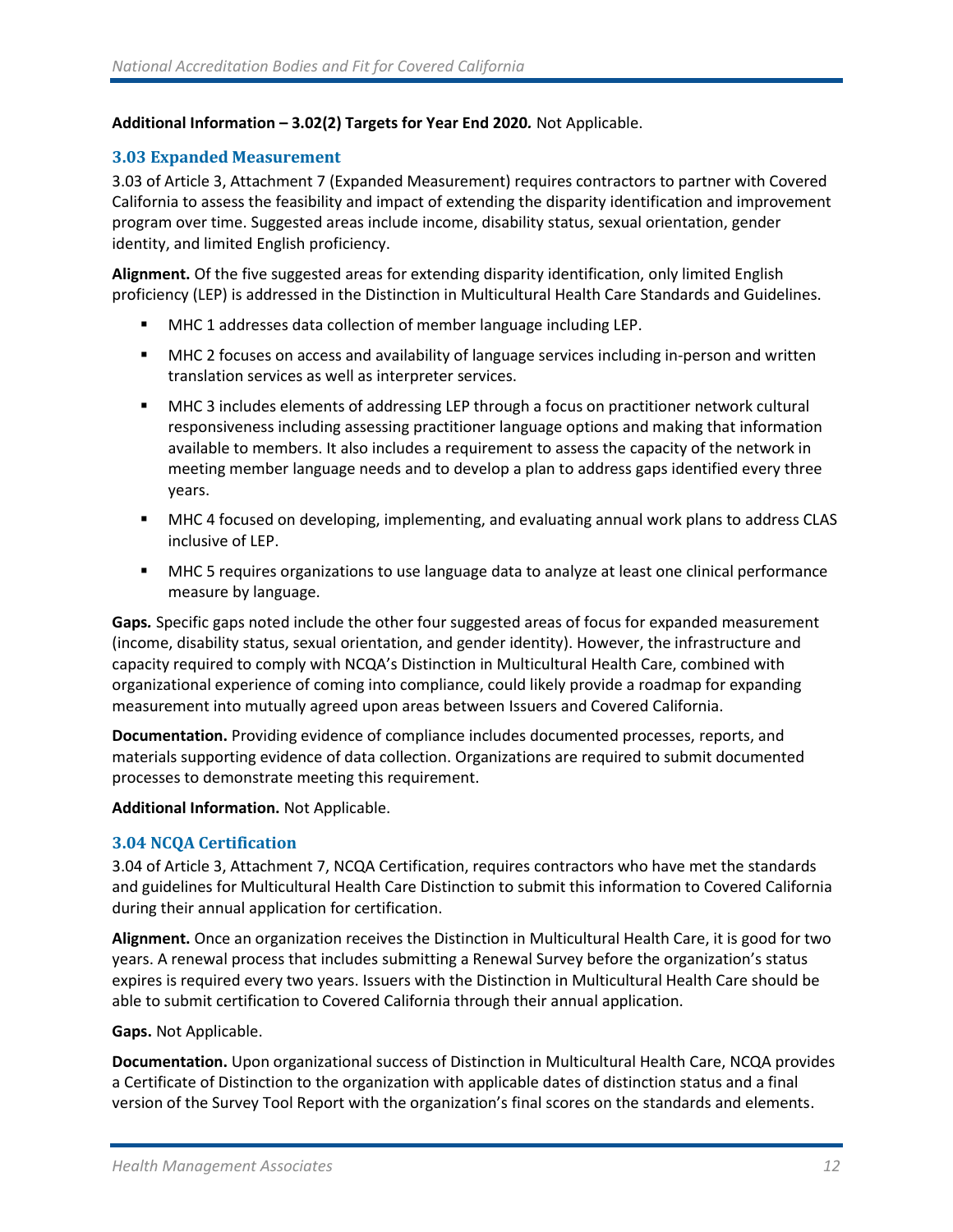#### **Additional Information – 3.02(2) Targets for Year End 2020***.* Not Applicable.

#### **3.03 Expanded Measurement**

3.03 of Article 3, Attachment 7 (Expanded Measurement) requires contractors to partner with Covered California to assess the feasibility and impact of extending the disparity identification and improvement program over time. Suggested areas include income, disability status, sexual orientation, gender identity, and limited English proficiency.

**Alignment.** Of the five suggested areas for extending disparity identification, only limited English proficiency (LEP) is addressed in the Distinction in Multicultural Health Care Standards and Guidelines.

- MHC 1 addresses data collection of member language including LEP.
- MHC 2 focuses on access and availability of language services including in-person and written translation services as well as interpreter services.
- MHC 3 includes elements of addressing LEP through a focus on practitioner network cultural responsiveness including assessing practitioner language options and making that information available to members. It also includes a requirement to assess the capacity of the network in meeting member language needs and to develop a plan to address gaps identified every three years.
- MHC 4 focused on developing, implementing, and evaluating annual work plans to address CLAS inclusive of LEP.
- MHC 5 requires organizations to use language data to analyze at least one clinical performance measure by language.

**Gaps***.* Specific gaps noted include the other four suggested areas of focus for expanded measurement (income, disability status, sexual orientation, and gender identity). However, the infrastructure and capacity required to comply with NCQA's Distinction in Multicultural Health Care, combined with organizational experience of coming into compliance, could likely provide a roadmap for expanding measurement into mutually agreed upon areas between Issuers and Covered California.

**Documentation.** Providing evidence of compliance includes documented processes, reports, and materials supporting evidence of data collection. Organizations are required to submit documented processes to demonstrate meeting this requirement.

**Additional Information.** Not Applicable.

#### **3.04 NCQA Certification**

3.04 of Article 3, Attachment 7, NCQA Certification, requires contractors who have met the standards and guidelines for Multicultural Health Care Distinction to submit this information to Covered California during their annual application for certification.

**Alignment.** Once an organization receives the Distinction in Multicultural Health Care, it is good for two years. A renewal process that includes submitting a Renewal Survey before the organization's status expires is required every two years. Issuers with the Distinction in Multicultural Health Care should be able to submit certification to Covered California through their annual application.

#### **Gaps.** Not Applicable.

**Documentation.** Upon organizational success of Distinction in Multicultural Health Care, NCQA provides a Certificate of Distinction to the organization with applicable dates of distinction status and a final version of the Survey Tool Report with the organization's final scores on the standards and elements.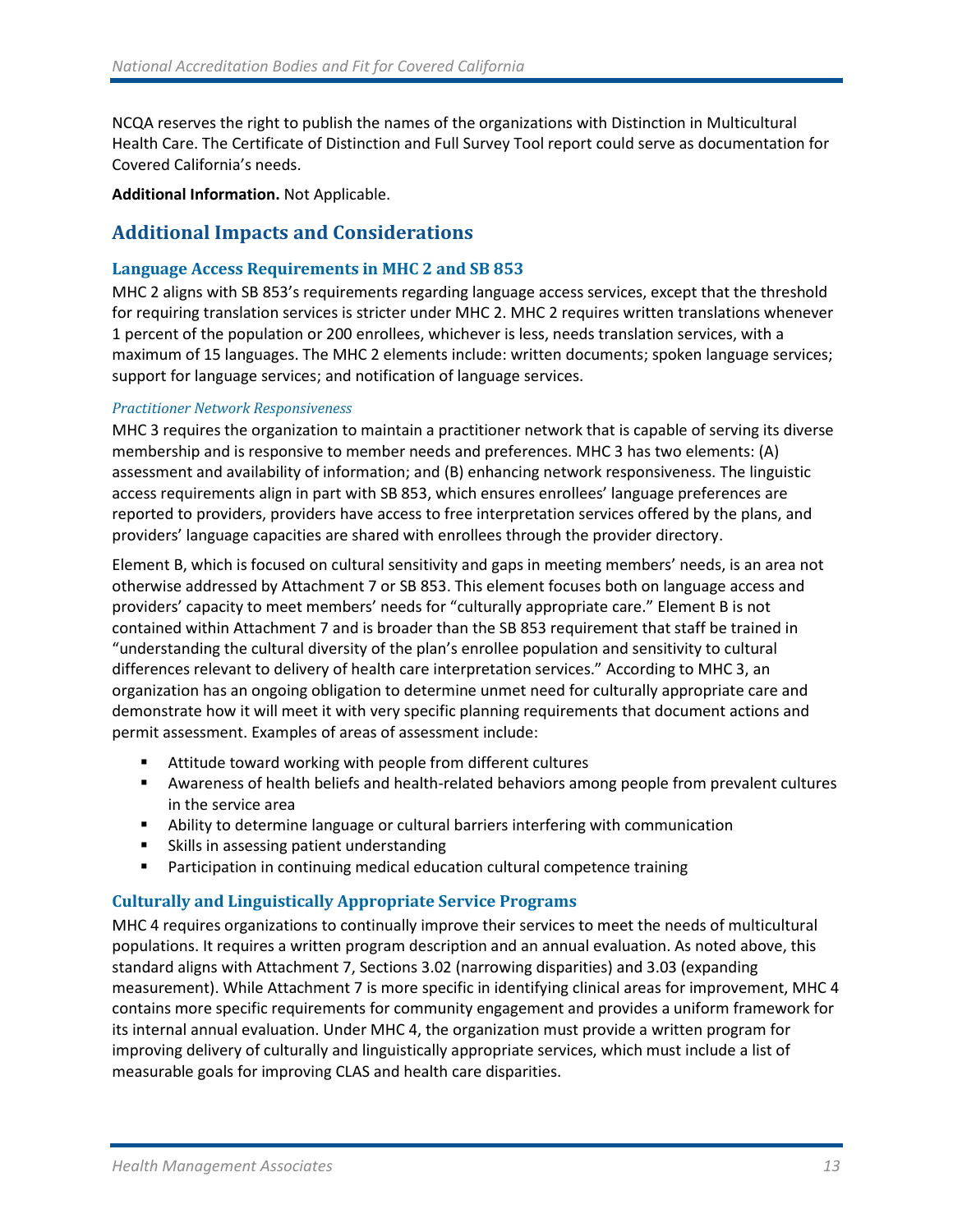NCQA reserves the right to publish the names of the organizations with Distinction in Multicultural Health Care. The Certificate of Distinction and Full Survey Tool report could serve as documentation for Covered California's needs.

**Additional Information.** Not Applicable.

#### <span id="page-16-0"></span>**Additional Impacts and Considerations**

#### **Language Access Requirements in MHC 2 and SB 853**

MHC 2 aligns with SB 853's requirements regarding language access services, except that the threshold for requiring translation services is stricter under MHC 2. MHC 2 requires written translations whenever 1 percent of the population or 200 enrollees, whichever is less, needs translation services, with a maximum of 15 languages. The MHC 2 elements include: written documents; spoken language services; support for language services; and notification of language services.

#### *Practitioner Network Responsiveness*

MHC 3 requires the organization to maintain a practitioner network that is capable of serving its diverse membership and is responsive to member needs and preferences. MHC 3 has two elements: (A) assessment and availability of information; and (B) enhancing network responsiveness. The linguistic access requirements align in part with SB 853, which ensures enrollees' language preferences are reported to providers, providers have access to free interpretation services offered by the plans, and providers' language capacities are shared with enrollees through the provider directory.

Element B, which is focused on cultural sensitivity and gaps in meeting members' needs, is an area not otherwise addressed by Attachment 7 or SB 853. This element focuses both on language access and providers' capacity to meet members' needs for "culturally appropriate care." Element B is not contained within Attachment 7 and is broader than the SB 853 requirement that staff be trained in "understanding the cultural diversity of the plan's enrollee population and sensitivity to cultural differences relevant to delivery of health care interpretation services." According to MHC 3, an organization has an ongoing obligation to determine unmet need for culturally appropriate care and demonstrate how it will meet it with very specific planning requirements that document actions and permit assessment. Examples of areas of assessment include:

- Attitude toward working with people from different cultures
- Awareness of health beliefs and health-related behaviors among people from prevalent cultures in the service area
- Ability to determine language or cultural barriers interfering with communication
- Skills in assessing patient understanding
- Participation in continuing medical education cultural competence training

#### **Culturally and Linguistically Appropriate Service Programs**

MHC 4 requires organizations to continually improve their services to meet the needs of multicultural populations. It requires a written program description and an annual evaluation. As noted above, this standard aligns with Attachment 7, Sections 3.02 (narrowing disparities) and 3.03 (expanding measurement). While Attachment 7 is more specific in identifying clinical areas for improvement, MHC 4 contains more specific requirements for community engagement and provides a uniform framework for its internal annual evaluation. Under MHC 4, the organization must provide a written program for improving delivery of culturally and linguistically appropriate services, which must include a list of measurable goals for improving CLAS and health care disparities.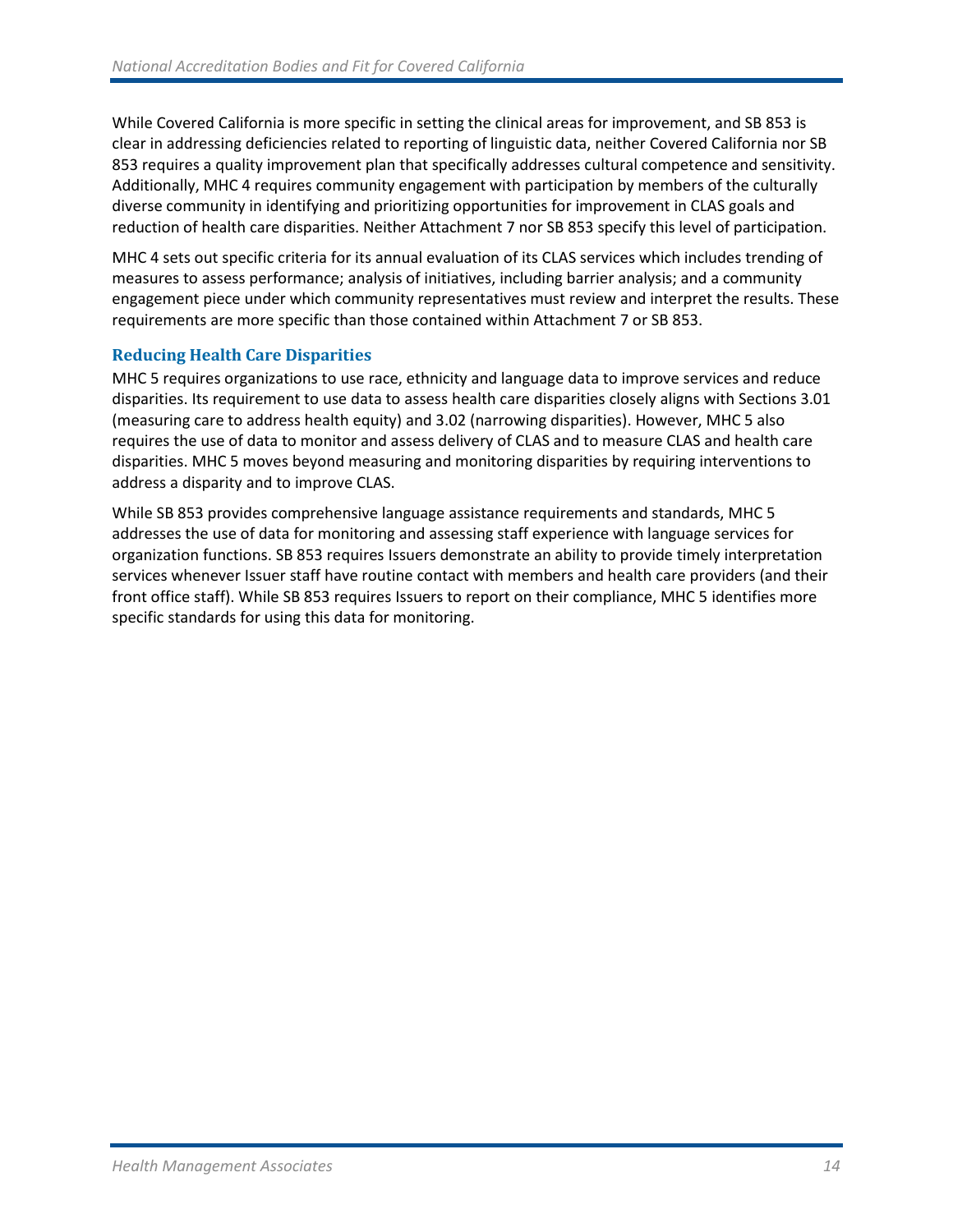While Covered California is more specific in setting the clinical areas for improvement, and SB 853 is clear in addressing deficiencies related to reporting of linguistic data, neither Covered California nor SB 853 requires a quality improvement plan that specifically addresses cultural competence and sensitivity. Additionally, MHC 4 requires community engagement with participation by members of the culturally diverse community in identifying and prioritizing opportunities for improvement in CLAS goals and reduction of health care disparities. Neither Attachment 7 nor SB 853 specify this level of participation.

MHC 4 sets out specific criteria for its annual evaluation of its CLAS services which includes trending of measures to assess performance; analysis of initiatives, including barrier analysis; and a community engagement piece under which community representatives must review and interpret the results. These requirements are more specific than those contained within Attachment 7 or SB 853.

#### **Reducing Health Care Disparities**

MHC 5 requires organizations to use race, ethnicity and language data to improve services and reduce disparities. Its requirement to use data to assess health care disparities closely aligns with Sections 3.01 (measuring care to address health equity) and 3.02 (narrowing disparities). However, MHC 5 also requires the use of data to monitor and assess delivery of CLAS and to measure CLAS and health care disparities. MHC 5 moves beyond measuring and monitoring disparities by requiring interventions to address a disparity and to improve CLAS.

While SB 853 provides comprehensive language assistance requirements and standards, MHC 5 addresses the use of data for monitoring and assessing staff experience with language services for organization functions. SB 853 requires Issuers demonstrate an ability to provide timely interpretation services whenever Issuer staff have routine contact with members and health care providers (and their front office staff). While SB 853 requires Issuers to report on their compliance, MHC 5 identifies more specific standards for using this data for monitoring.